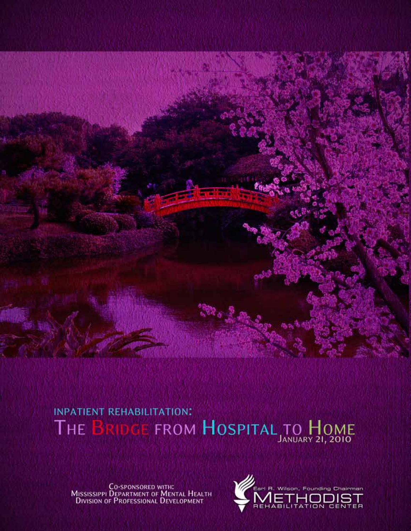

## **INPATIENT REHABILITATION:** RIDGE FROM HOSPITAL TO HOME **THE**

**CO-SPONSORED WITH:**<br>Mississippi Department of Mental Health<br>Division of Professional Development

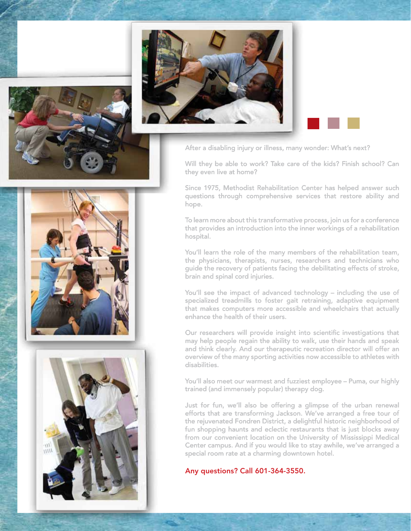

 $\overline{U}$  $11111$ 



After a disabling injury or illness, many wonder: What's next?

Will they be able to work? Take care of the kids? Finish school? Can they even live at home?

Since 1975, Methodist Rehabilitation Center has helped answer such questions through comprehensive services that restore ability and hope.

To learn more about this transformative process, join us for a conference that provides an introduction into the inner workings of a rehabilitation hospital.

You'll learn the role of the many members of the rehabilitation team, the physicians, therapists, nurses, researchers and technicians who guide the recovery of patients facing the debilitating effects of stroke, brain and spinal cord injuries.

You'll see the impact of advanced technology – including the use of specialized treadmills to foster gait retraining, adaptive equipment that makes computers more accessible and wheelchairs that actually enhance the health of their users.

Our researchers will provide insight into scientific investigations that may help people regain the ability to walk, use their hands and speak and think clearly. And our therapeutic recreation director will offer an overview of the many sporting activities now accessible to athletes with disabilities.

You'll also meet our warmest and fuzziest employee – Puma, our highly trained (and immensely popular) therapy dog.

Just for fun, we'll also be offering a glimpse of the urban renewal efforts that are transforming Jackson. We've arranged a free tour of the rejuvenated Fondren District, a delightful historic neighborhood of fun shopping haunts and eclectic restaurants that is just blocks away from our convenient location on the University of Mississippi Medical Center campus. And if you would like to stay awhile, we've arranged a special room rate at a charming downtown hotel.

Any questions? Call 601-364-3550.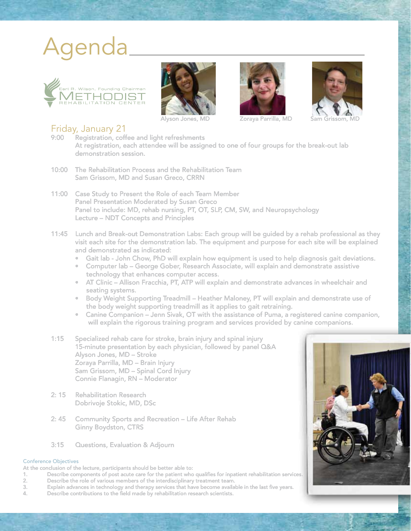# Agenda









Alyson Jones, MD Zoraya Parrilla, MD Sam Grissom, MD

## Friday, January 21

- Registration, coffee and light refreshments At registration, each attendee will be assigned to one of four groups for the break-out lab demonstration session.
- 10:00 The Rehabilitation Process and the Rehabilitation Team Sam Grissom, MD and Susan Greco, CRRN
- 11:00 Case Study to Present the Role of each Team Member Panel Presentation Moderated by Susan Greco Panel to include: MD, rehab nursing, PT, OT, SLP, CM, SW, and Neuropsychology Lecture – NDT Concepts and Principles
- 11:45 Lunch and Break-out Demonstration Labs: Each group will be guided by a rehab professional as they visit each site for the demonstration lab. The equipment and purpose for each site will be explained and demonstrated as indicated:
	- Gait lab John Chow, PhD will explain how equipment is used to help diagnosis gait deviations.
	- Computer lab George Gober, Research Associate, will explain and demonstrate assistive technology that enhances computer access.
	- AT Clinic Allison Fracchia, PT, ATP will explain and demonstrate advances in wheelchair and seating systems.
	- Body Weight Supporting Treadmill Heather Maloney, PT will explain and demonstrate use of the body weight supporting treadmill as it applies to gait retraining.
	- Canine Companion Jenn Sivak, OT with the assistance of Puma, a registered canine companion, will explain the rigorous training program and services provided by canine companions.
- 1:15 Specialized rehab care for stroke, brain injury and spinal injury 15-minute presentation by each physician, followed by panel Q&A Alyson Jones, MD – Stroke Zoraya Parrilla, MD – Brain Injury Sam Grissom, MD – Spinal Cord Injury Connie Flanagin, RN – Moderator
- 2: 15 Rehabilitation Research Dobrivoje Stokic, MD, DSc
- 2: 45 Community Sports and Recreation Life After Rehab Ginny Boydston, CTRS
- 3:15 Questions, Evaluation & Adjourn

#### Conference Objectives

At the conclusion of the lecture, participants should be better able to:

- 1. Describe components of post acute care for the patient who qualifies for inpatient rehabilitation services.
- 2. Describe the role of various members of the interdisciplinary treatment team.
- 3. Explain advances in technology and therapy services that have become available in the last five years.
- 4. Describe contributions to the field made by rehabilitation research scientists.

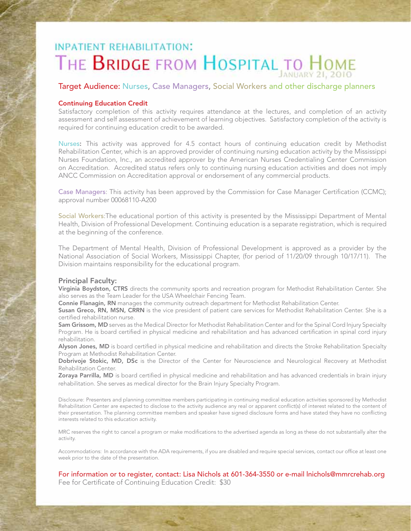# **INPATIENT REHABILITATION:** THE BRIDGE FROM HOSPITAL TO HOME

#### Target Audience: Nurses, Case Managers, Social Workers and other discharge planners

#### Continuing Education Credit

Satisfactory completion of this activity requires attendance at the lectures, and completion of an activity assessment and self assessment of achievement of learning objectives. Satisfactory completion of the activity is required for continuing education credit to be awarded.

Nurses: This activity was approved for 4.5 contact hours of continuing education credit by Methodist Rehabilitation Center, which is an approved provider of continuing nursing education activity by the Mississippi Nurses Foundation, Inc., an accredited approver by the American Nurses Credentialing Center Commission on Accreditation. Accredited status refers only to continuing nursing education activities and does not imply ANCC Commission on Accreditation approval or endorsement of any commercial products.

Case Managers: This activity has been approved by the Commission for Case Manager Certification (CCMC); approval number 00068110-A200

Social Workers:The educational portion of this activity is presented by the Mississippi Department of Mental Health, Division of Professional Development. Continuing education is a separate registration, which is required at the beginning of the conference.

The Department of Mental Health, Division of Professional Development is approved as a provider by the National Association of Social Workers, Mississippi Chapter, (for period of 11/20/09 through 10/17/11). The Division maintains responsibility for the educational program.

#### Principal Faculty:

Virginia Boydston, CTRS directs the community sports and recreation program for Methodist Rehabilitation Center. She also serves as the Team Leader for the USA Wheelchair Fencing Team.

Connie Flanagin, RN manages the community outreach department for Methodist Rehabilitation Center.

Susan Greco, RN, MSN, CRRN is the vice president of patient care services for Methodist Rehabilitation Center. She is a certified rehabilitation nurse.

Sam Grissom, MD serves as the Medical Director for Methodist Rehabilitation Center and for the Spinal Cord Injury Specialty Program. He is board certified in physical medicine and rehabilitation and has advanced certification in spinal cord injury rehabilitation.

Alyson Jones, MD is board certified in physical medicine and rehabilitation and directs the Stroke Rehabilitation Specialty Program at Methodist Rehabilitation Center.

Dobrivoje Stokic, MD, DSc is the Director of the Center for Neuroscience and Neurological Recovery at Methodist Rehabilitation Center.

Zoraya Parrilla, MD is board certified in physical medicine and rehabilitation and has advanced credentials in brain injury rehabilitation. She serves as medical director for the Brain Injury Specialty Program.

Disclosure: Presenters and planning committee members participating in continuing medical education activities sponsored by Methodist Rehabilitation Center are expected to disclose to the activity audience any real or apparent conflict(s) of interest related to the content of their presentation. The planning committee members and speaker have signed disclosure forms and have stated they have no conflicting interests related to this education activity.

MRC reserves the right to cancel a program or make modifications to the advertised agenda as long as these do not substantially alter the activity.

Accommodations: In accordance with the ADA requirements, if you are disabled and require special services, contact our office at least one week prior to the date of the presentation.

For information or to register, contact: Lisa Nichols at 601-364-3550 or e-mail lnichols@mmrcrehab.org Fee for Certificate of Continuing Education Credit: \$30

-3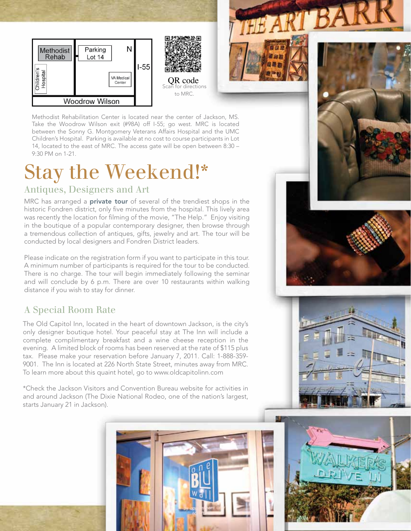



to MRC.



Methodist Rehabilitation Center is located near the center of Jackson, MS. Take the Woodrow Wilson exit (#98A) off I-55; go west. MRC is located between the Sonny G. Montgomery Veterans Affairs Hospital and the UMC Children's Hospital. Parking is available at no cost to course participants in Lot 14, located to the east of MRC. The access gate will be open between 8:30 – 9:30 PM on 1-21.

# Stay the Weekend!\*

### Antiques, Designers and Art

MRC has arranged a **private tour** of several of the trendiest shops in the historic Fondren district, only five minutes from the hospital. This lively area was recently the location for filming of the movie, "The Help." Enjoy visiting in the boutique of a popular contemporary designer, then browse through a tremendous collection of antiques, gifts, jewelry and art. The tour will be conducted by local designers and Fondren District leaders.

Please indicate on the registration form if you want to participate in this tour. A minimum number of participants is required for the tour to be conducted. There is no charge. The tour will begin immediately following the seminar and will conclude by 6 p.m. There are over 10 restaurants within walking distance if you wish to stay for dinner.

### A Special Room Rate

The Old Capitol Inn, located in the heart of downtown Jackson, is the city's only designer boutique hotel. Your peaceful stay at The Inn will include a complete complimentary breakfast and a wine cheese reception in the evening. A limited block of rooms has been reserved at the rate of \$115 plus tax. Please make your reservation before January 7, 2011. Call: 1-888-359- 9001. The Inn is located at 226 North State Street, minutes away from MRC. To learn more about this quaint hotel, go to www.oldcapitolinn.com

\*Check the Jackson Visitors and Convention Bureau website for activities in and around Jackson (The Dixie National Rodeo, one of the nation's largest, starts January 21 in Jackson).